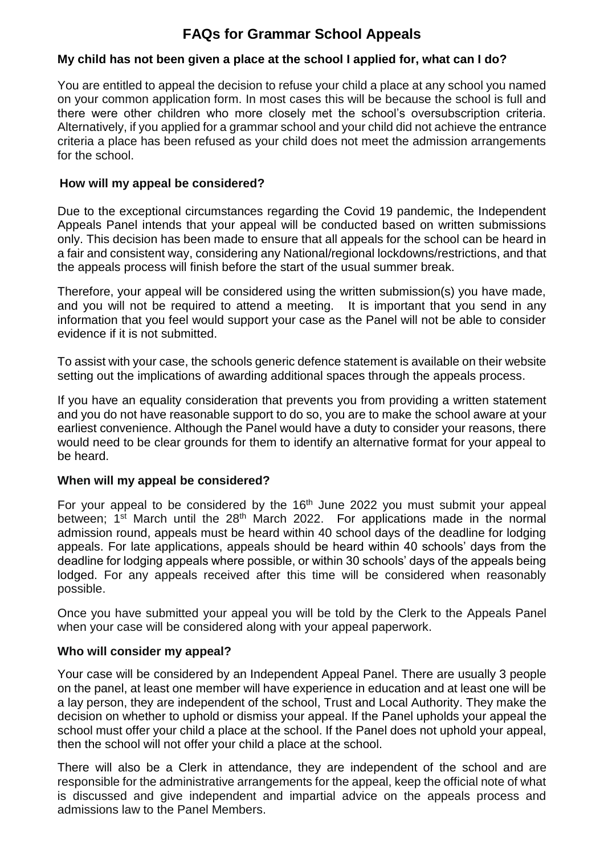# **FAQs for Grammar School Appeals**

# **My child has not been given a place at the school I applied for, what can I do?**

You are entitled to appeal the decision to refuse your child a place at any school you named on your common application form. In most cases this will be because the school is full and there were other children who more closely met the school's oversubscription criteria. Alternatively, if you applied for a grammar school and your child did not achieve the entrance criteria a place has been refused as your child does not meet the admission arrangements for the school.

#### **How will my appeal be considered?**

Due to the exceptional circumstances regarding the Covid 19 pandemic, the Independent Appeals Panel intends that your appeal will be conducted based on written submissions only. This decision has been made to ensure that all appeals for the school can be heard in a fair and consistent way, considering any National/regional lockdowns/restrictions, and that the appeals process will finish before the start of the usual summer break.

Therefore, your appeal will be considered using the written submission(s) you have made, and you will not be required to attend a meeting. It is important that you send in any information that you feel would support your case as the Panel will not be able to consider evidence if it is not submitted.

To assist with your case, the schools generic defence statement is available on their website setting out the implications of awarding additional spaces through the appeals process.

If you have an equality consideration that prevents you from providing a written statement and you do not have reasonable support to do so, you are to make the school aware at your earliest convenience. Although the Panel would have a duty to consider your reasons, there would need to be clear grounds for them to identify an alternative format for your appeal to be heard.

#### **When will my appeal be considered?**

For your appeal to be considered by the 16<sup>th</sup> June 2022 you must submit your appeal between; 1<sup>st</sup> March until the 28<sup>th</sup> March 2022. For applications made in the normal admission round, appeals must be heard within 40 school days of the deadline for lodging appeals. For late applications, appeals should be heard within 40 schools' days from the deadline for lodging appeals where possible, or within 30 schools' days of the appeals being lodged. For any appeals received after this time will be considered when reasonably possible.

Once you have submitted your appeal you will be told by the Clerk to the Appeals Panel when your case will be considered along with your appeal paperwork.

#### **Who will consider my appeal?**

Your case will be considered by an Independent Appeal Panel. There are usually 3 people on the panel, at least one member will have experience in education and at least one will be a lay person, they are independent of the school, Trust and Local Authority. They make the decision on whether to uphold or dismiss your appeal. If the Panel upholds your appeal the school must offer your child a place at the school. If the Panel does not uphold your appeal, then the school will not offer your child a place at the school.

There will also be a Clerk in attendance, they are independent of the school and are responsible for the administrative arrangements for the appeal, keep the official note of what is discussed and give independent and impartial advice on the appeals process and admissions law to the Panel Members.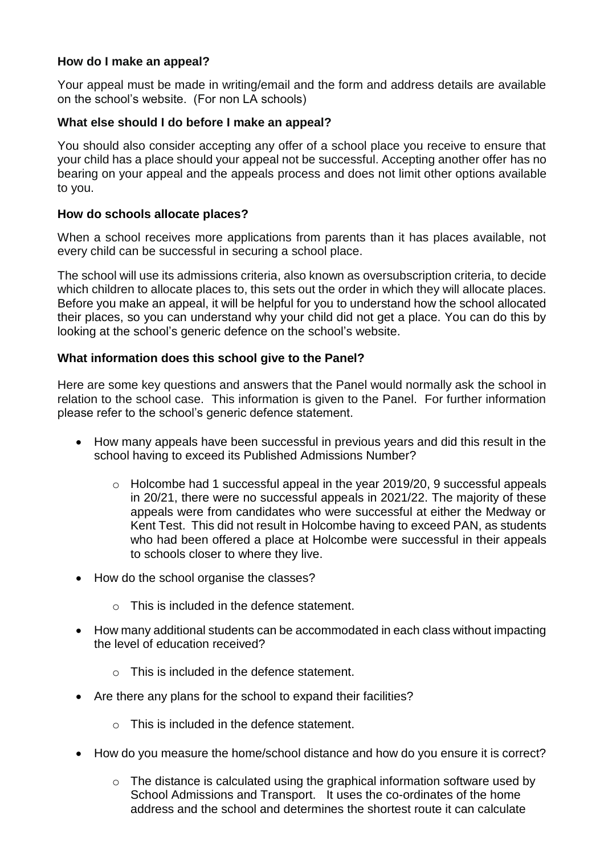## **How do I make an appeal?**

Your appeal must be made in writing/email and the form and address details are available on the school's website. (For non LA schools)

## **What else should I do before I make an appeal?**

You should also consider accepting any offer of a school place you receive to ensure that your child has a place should your appeal not be successful. Accepting another offer has no bearing on your appeal and the appeals process and does not limit other options available to you.

#### **How do schools allocate places?**

When a school receives more applications from parents than it has places available, not every child can be successful in securing a school place.

The school will use its admissions criteria, also known as oversubscription criteria, to decide which children to allocate places to, this sets out the order in which they will allocate places. Before you make an appeal, it will be helpful for you to understand how the school allocated their places, so you can understand why your child did not get a place. You can do this by looking at the school's generic defence on the school's website.

## **What information does this school give to the Panel?**

Here are some key questions and answers that the Panel would normally ask the school in relation to the school case. This information is given to the Panel. For further information please refer to the school's generic defence statement.

- How many appeals have been successful in previous years and did this result in the school having to exceed its Published Admissions Number?
	- o Holcombe had 1 successful appeal in the year 2019/20, 9 successful appeals in 20/21, there were no successful appeals in 2021/22. The majority of these appeals were from candidates who were successful at either the Medway or Kent Test. This did not result in Holcombe having to exceed PAN, as students who had been offered a place at Holcombe were successful in their appeals to schools closer to where they live.
- How do the school organise the classes?
	- o This is included in the defence statement.
- How many additional students can be accommodated in each class without impacting the level of education received?
	- $\circ$  This is included in the defence statement.
- Are there any plans for the school to expand their facilities?
	- o This is included in the defence statement.
- How do you measure the home/school distance and how do you ensure it is correct?
	- o The distance is calculated using the graphical information software used by School Admissions and Transport. It uses the co-ordinates of the home address and the school and determines the shortest route it can calculate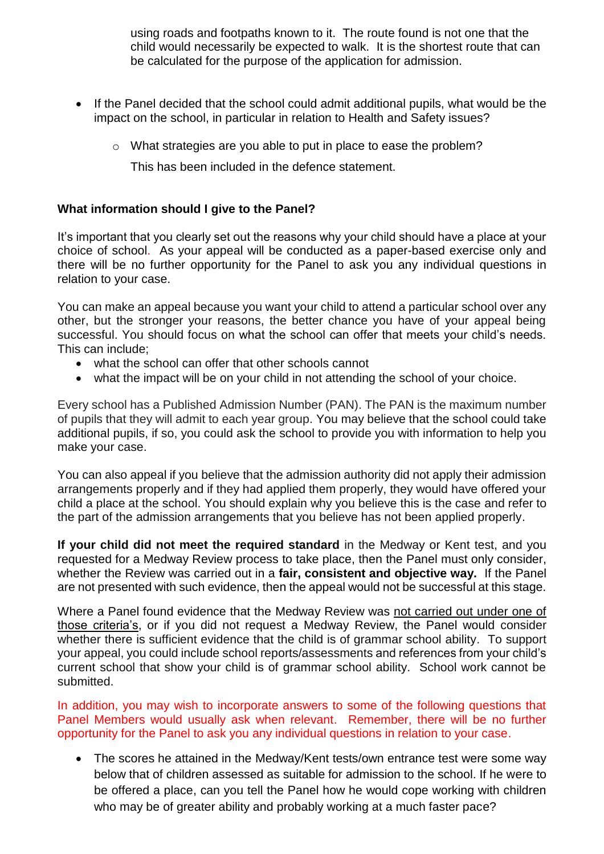using roads and footpaths known to it. The route found is not one that the child would necessarily be expected to walk. It is the shortest route that can be calculated for the purpose of the application for admission.

- If the Panel decided that the school could admit additional pupils, what would be the impact on the school, in particular in relation to Health and Safety issues?
	- o What strategies are you able to put in place to ease the problem?

This has been included in the defence statement.

# **What information should I give to the Panel?**

It's important that you clearly set out the reasons why your child should have a place at your choice of school. As your appeal will be conducted as a paper-based exercise only and there will be no further opportunity for the Panel to ask you any individual questions in relation to your case.

You can make an appeal because you want your child to attend a particular school over any other, but the stronger your reasons, the better chance you have of your appeal being successful. You should focus on what the school can offer that meets your child's needs. This can include;

- what the school can offer that other schools cannot
- what the impact will be on your child in not attending the school of your choice.

Every school has a Published Admission Number (PAN). The PAN is the maximum number of pupils that they will admit to each year group. You may believe that the school could take additional pupils, if so, you could ask the school to provide you with information to help you make your case.

You can also appeal if you believe that the admission authority did not apply their admission arrangements properly and if they had applied them properly, they would have offered your child a place at the school. You should explain why you believe this is the case and refer to the part of the admission arrangements that you believe has not been applied properly.

**If your child did not meet the required standard** in the Medway or Kent test, and you requested for a Medway Review process to take place, then the Panel must only consider, whether the Review was carried out in a **fair, consistent and objective way.** If the Panel are not presented with such evidence, then the appeal would not be successful at this stage.

Where a Panel found evidence that the Medway Review was not carried out under one of those criteria's, or if you did not request a Medway Review, the Panel would consider whether there is sufficient evidence that the child is of grammar school ability. To support your appeal, you could include school reports/assessments and references from your child's current school that show your child is of grammar school ability. School work cannot be submitted.

In addition, you may wish to incorporate answers to some of the following questions that Panel Members would usually ask when relevant. Remember, there will be no further opportunity for the Panel to ask you any individual questions in relation to your case.

• The scores he attained in the Medway/Kent tests/own entrance test were some way below that of children assessed as suitable for admission to the school. If he were to be offered a place, can you tell the Panel how he would cope working with children who may be of greater ability and probably working at a much faster pace?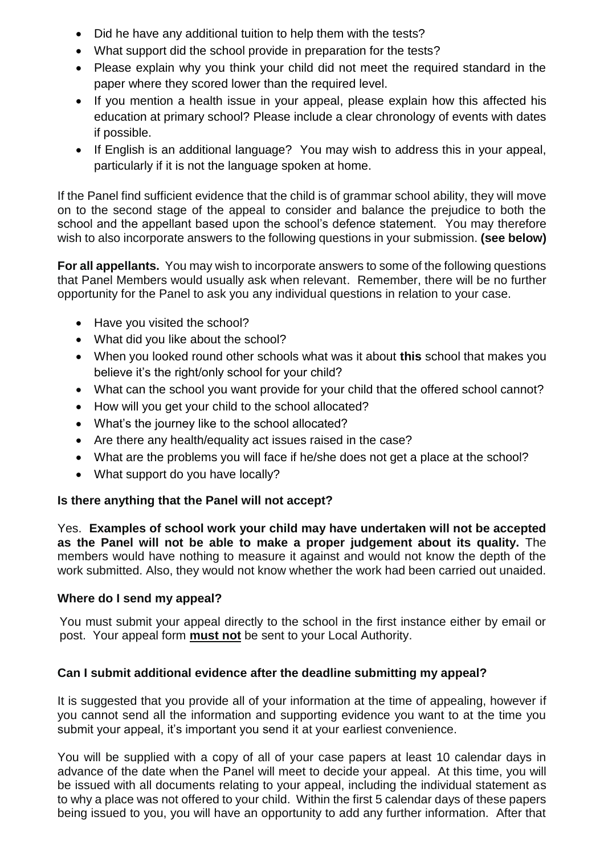- Did he have any additional tuition to help them with the tests?
- What support did the school provide in preparation for the tests?
- Please explain why you think your child did not meet the required standard in the paper where they scored lower than the required level.
- If you mention a health issue in your appeal, please explain how this affected his education at primary school? Please include a clear chronology of events with dates if possible.
- If English is an additional language? You may wish to address this in your appeal, particularly if it is not the language spoken at home.

If the Panel find sufficient evidence that the child is of grammar school ability, they will move on to the second stage of the appeal to consider and balance the prejudice to both the school and the appellant based upon the school's defence statement. You may therefore wish to also incorporate answers to the following questions in your submission. **(see below)**

**For all appellants.** You may wish to incorporate answers to some of the following questions that Panel Members would usually ask when relevant. Remember, there will be no further opportunity for the Panel to ask you any individual questions in relation to your case.

- Have you visited the school?
- What did you like about the school?
- When you looked round other schools what was it about **this** school that makes you believe it's the right/only school for your child?
- What can the school you want provide for your child that the offered school cannot?
- How will you get your child to the school allocated?
- What's the journey like to the school allocated?
- Are there any health/equality act issues raised in the case?
- What are the problems you will face if he/she does not get a place at the school?
- What support do you have locally?

# **Is there anything that the Panel will not accept?**

Yes. **Examples of school work your child may have undertaken will not be accepted as the Panel will not be able to make a proper judgement about its quality.** The members would have nothing to measure it against and would not know the depth of the work submitted. Also, they would not know whether the work had been carried out unaided.

# **Where do I send my appeal?**

You must submit your appeal directly to the school in the first instance either by email or post. Your appeal form **must not** be sent to your Local Authority.

# **Can I submit additional evidence after the deadline submitting my appeal?**

It is suggested that you provide all of your information at the time of appealing, however if you cannot send all the information and supporting evidence you want to at the time you submit your appeal, it's important you send it at your earliest convenience.

You will be supplied with a copy of all of your case papers at least 10 calendar days in advance of the date when the Panel will meet to decide your appeal. At this time, you will be issued with all documents relating to your appeal, including the individual statement as to why a place was not offered to your child. Within the first 5 calendar days of these papers being issued to you, you will have an opportunity to add any further information. After that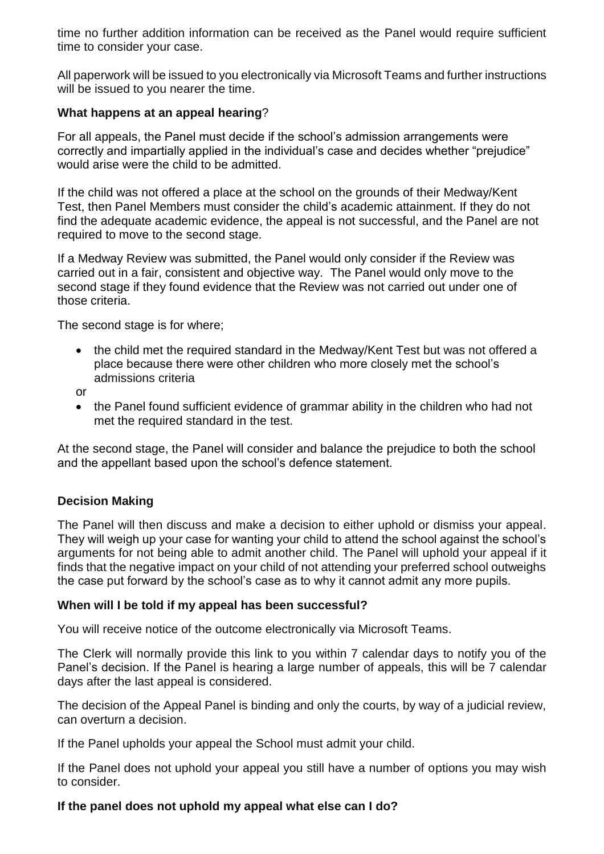time no further addition information can be received as the Panel would require sufficient time to consider your case.

All paperwork will be issued to you electronically via Microsoft Teams and further instructions will be issued to you nearer the time.

### **What happens at an appeal hearing**?

For all appeals, the Panel must decide if the school's admission arrangements were correctly and impartially applied in the individual's case and decides whether "prejudice" would arise were the child to be admitted.

If the child was not offered a place at the school on the grounds of their Medway/Kent Test, then Panel Members must consider the child's academic attainment. If they do not find the adequate academic evidence, the appeal is not successful, and the Panel are not required to move to the second stage.

If a Medway Review was submitted, the Panel would only consider if the Review was carried out in a fair, consistent and objective way. The Panel would only move to the second stage if they found evidence that the Review was not carried out under one of those criteria.

The second stage is for where;

- the child met the required standard in the Medway/Kent Test but was not offered a place because there were other children who more closely met the school's admissions criteria
- or
- the Panel found sufficient evidence of grammar ability in the children who had not met the required standard in the test.

At the second stage, the Panel will consider and balance the prejudice to both the school and the appellant based upon the school's defence statement.

# **Decision Making**

The Panel will then discuss and make a decision to either uphold or dismiss your appeal. They will weigh up your case for wanting your child to attend the school against the school's arguments for not being able to admit another child. The Panel will uphold your appeal if it finds that the negative impact on your child of not attending your preferred school outweighs the case put forward by the school's case as to why it cannot admit any more pupils.

#### **When will I be told if my appeal has been successful?**

You will receive notice of the outcome electronically via Microsoft Teams.

The Clerk will normally provide this link to you within 7 calendar days to notify you of the Panel's decision. If the Panel is hearing a large number of appeals, this will be 7 calendar days after the last appeal is considered.

The decision of the Appeal Panel is binding and only the courts, by way of a judicial review, can overturn a decision.

If the Panel upholds your appeal the School must admit your child.

If the Panel does not uphold your appeal you still have a number of options you may wish to consider.

#### **If the panel does not uphold my appeal what else can I do?**